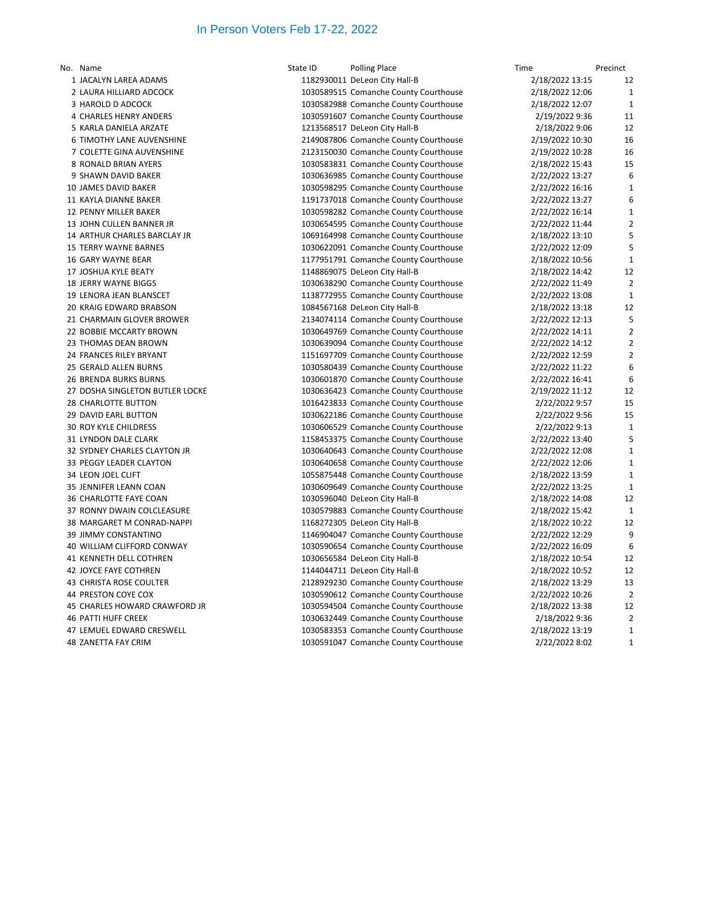## In Person Voters Feb 17-22, 2022

| No. Name                        | State ID | <b>Polling Place</b>                  | Time            | Precinct       |
|---------------------------------|----------|---------------------------------------|-----------------|----------------|
| 1 JACALYN LAREA ADAMS           |          | 1182930011 DeLeon City Hall-B         | 2/18/2022 13:15 | 12             |
| 2 LAURA HILLIARD ADCOCK         |          | 1030589515 Comanche County Courthouse | 2/18/2022 12:06 | $\mathbf{1}$   |
| 3 HAROLD D ADCOCK               |          | 1030582988 Comanche County Courthouse | 2/18/2022 12:07 | $\mathbf{1}$   |
| 4 CHARLES HENRY ANDERS          |          | 1030591607 Comanche County Courthouse | 2/19/2022 9:36  | 11             |
| 5 KARLA DANIELA ARZATE          |          | 1213568517 DeLeon City Hall-B         | 2/18/2022 9:06  | 12             |
| 6 TIMOTHY LANE AUVENSHINE       |          | 2149087806 Comanche County Courthouse | 2/19/2022 10:30 | 16             |
| 7 COLETTE GINA AUVENSHINE       |          | 2123150030 Comanche County Courthouse | 2/19/2022 10:28 | 16             |
| 8 RONALD BRIAN AYERS            |          | 1030583831 Comanche County Courthouse | 2/18/2022 15:43 | 15             |
| 9 SHAWN DAVID BAKER             |          | 1030636985 Comanche County Courthouse | 2/22/2022 13:27 | 6              |
| 10 JAMES DAVID BAKER            |          | 1030598295 Comanche County Courthouse | 2/22/2022 16:16 | $\mathbf{1}$   |
| 11 KAYLA DIANNE BAKER           |          | 1191737018 Comanche County Courthouse | 2/22/2022 13:27 | 6              |
| <b>12 PENNY MILLER BAKER</b>    |          | 1030598282 Comanche County Courthouse | 2/22/2022 16:14 | $\mathbf{1}$   |
| 13 JOHN CULLEN BANNER JR        |          | 1030654595 Comanche County Courthouse | 2/22/2022 11:44 | $\overline{2}$ |
| 14 ARTHUR CHARLES BARCLAY JR    |          | 1069164998 Comanche County Courthouse | 2/18/2022 13:10 | 5              |
| <b>15 TERRY WAYNE BARNES</b>    |          | 1030622091 Comanche County Courthouse | 2/22/2022 12:09 | 5              |
| 16 GARY WAYNE BEAR              |          | 1177951791 Comanche County Courthouse | 2/18/2022 10:56 | $\mathbf{1}$   |
| 17 JOSHUA KYLE BEATY            |          | 1148869075 DeLeon City Hall-B         | 2/18/2022 14:42 | 12             |
| <b>18 JERRY WAYNE BIGGS</b>     |          | 1030638290 Comanche County Courthouse | 2/22/2022 11:49 | $\overline{2}$ |
| 19 LENORA JEAN BLANSCET         |          | 1138772955 Comanche County Courthouse | 2/22/2022 13:08 | $\mathbf{1}$   |
| 20 KRAIG EDWARD BRABSON         |          | 1084567168 DeLeon City Hall-B         | 2/18/2022 13:18 | 12             |
| 21 CHARMAIN GLOVER BROWER       |          | 2134074114 Comanche County Courthouse | 2/22/2022 12:13 | 5              |
| 22 BOBBIE MCCARTY BROWN         |          | 1030649769 Comanche County Courthouse | 2/22/2022 14:11 | $\overline{2}$ |
| 23 THOMAS DEAN BROWN            |          | 1030639094 Comanche County Courthouse | 2/22/2022 14:12 | $\overline{2}$ |
| 24 FRANCES RILEY BRYANT         |          | 1151697709 Comanche County Courthouse | 2/22/2022 12:59 | $\overline{2}$ |
| 25 GERALD ALLEN BURNS           |          | 1030580439 Comanche County Courthouse | 2/22/2022 11:22 | 6              |
| <b>26 BRENDA BURKS BURNS</b>    |          | 1030601870 Comanche County Courthouse | 2/22/2022 16:41 | 6              |
| 27 DOSHA SINGLETON BUTLER LOCKE |          | 1030636423 Comanche County Courthouse | 2/19/2022 11:12 | 12             |
| 28 CHARLOTTE BUTTON             |          | 1016423833 Comanche County Courthouse | 2/22/2022 9:57  | 15             |
| <b>29 DAVID EARL BUTTON</b>     |          | 1030622186 Comanche County Courthouse | 2/22/2022 9:56  | 15             |
| <b>30 ROY KYLE CHILDRESS</b>    |          | 1030606529 Comanche County Courthouse | 2/22/2022 9:13  | $\mathbf{1}$   |
| 31 LYNDON DALE CLARK            |          | 1158453375 Comanche County Courthouse | 2/22/2022 13:40 | 5              |
| 32 SYDNEY CHARLES CLAYTON JR    |          | 1030640643 Comanche County Courthouse | 2/22/2022 12:08 | $\mathbf{1}$   |
| 33 PEGGY LEADER CLAYTON         |          | 1030640658 Comanche County Courthouse | 2/22/2022 12:06 | $\mathbf{1}$   |
| 34 LEON JOEL CLIFT              |          | 1055875448 Comanche County Courthouse | 2/18/2022 13:59 | $\mathbf{1}$   |
| 35 JENNIFER LEANN COAN          |          | 1030609649 Comanche County Courthouse | 2/22/2022 13:25 | $\mathbf{1}$   |
| 36 CHARLOTTE FAYE COAN          |          | 1030596040 DeLeon City Hall-B         | 2/18/2022 14:08 | 12             |
| 37 RONNY DWAIN COLCLEASURE      |          | 1030579883 Comanche County Courthouse | 2/18/2022 15:42 | $\mathbf{1}$   |
| 38 MARGARET M CONRAD-NAPPI      |          | 1168272305 DeLeon City Hall-B         | 2/18/2022 10:22 | 12             |
| 39 JIMMY CONSTANTINO            |          | 1146904047 Comanche County Courthouse | 2/22/2022 12:29 | 9              |
| 40 WILLIAM CLIFFORD CONWAY      |          | 1030590654 Comanche County Courthouse | 2/22/2022 16:09 | 6              |
| 41 KENNETH DELL COTHREN         |          | 1030656584 DeLeon City Hall-B         | 2/18/2022 10:54 | 12             |
| <b>42 JOYCE FAYE COTHREN</b>    |          | 1144044711 DeLeon City Hall-B         | 2/18/2022 10:52 | 12             |
| <b>43 CHRISTA ROSE COULTER</b>  |          | 2128929230 Comanche County Courthouse | 2/18/2022 13:29 | 13             |
| 44 PRESTON COYE COX             |          | 1030590612 Comanche County Courthouse | 2/22/2022 10:26 | $\overline{2}$ |
| 45 CHARLES HOWARD CRAWFORD JR   |          | 1030594504 Comanche County Courthouse | 2/18/2022 13:38 | 12             |
| <b>46 PATTI HUFF CREEK</b>      |          | 1030632449 Comanche County Courthouse | 2/18/2022 9:36  | $\overline{2}$ |
| 47 LEMUEL EDWARD CRESWELL       |          | 1030583353 Comanche County Courthouse | 2/18/2022 13:19 | $\mathbf 1$    |
| <b>48 ZANETTA FAY CRIM</b>      |          | 1030591047 Comanche County Courthouse | 2/22/2022 8:02  | $\mathbf{1}$   |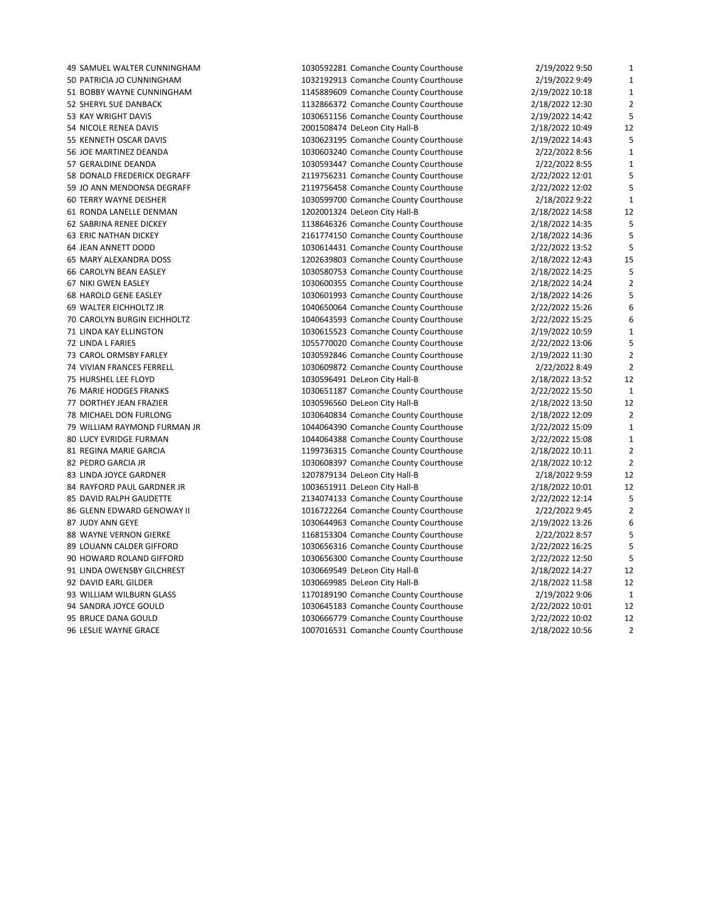| 49 SAMUEL WALTER CUNNINGHAM   | 1030592281 Comanche County Courthouse | 2/19/2022 9:50  | $\mathbf{1}$   |
|-------------------------------|---------------------------------------|-----------------|----------------|
| 50 PATRICIA JO CUNNINGHAM     | 1032192913 Comanche County Courthouse | 2/19/2022 9:49  | $\mathbf{1}$   |
| 51 BOBBY WAYNE CUNNINGHAM     | 1145889609 Comanche County Courthouse | 2/19/2022 10:18 | $\mathbf{1}$   |
| 52 SHERYL SUE DANBACK         | 1132866372 Comanche County Courthouse | 2/18/2022 12:30 | $\overline{2}$ |
| 53 KAY WRIGHT DAVIS           | 1030651156 Comanche County Courthouse | 2/19/2022 14:42 | 5              |
| 54 NICOLE RENEA DAVIS         | 2001508474 DeLeon City Hall-B         | 2/18/2022 10:49 | 12             |
| 55 KENNETH OSCAR DAVIS        | 1030623195 Comanche County Courthouse | 2/19/2022 14:43 | 5              |
| 56 JOE MARTINEZ DEANDA        | 1030603240 Comanche County Courthouse | 2/22/2022 8:56  | $\mathbf{1}$   |
| 57 GERALDINE DEANDA           | 1030593447 Comanche County Courthouse | 2/22/2022 8:55  | 1              |
| 58 DONALD FREDERICK DEGRAFF   | 2119756231 Comanche County Courthouse | 2/22/2022 12:01 | 5              |
| 59 JO ANN MENDONSA DEGRAFF    | 2119756458 Comanche County Courthouse | 2/22/2022 12:02 | 5              |
| <b>60 TERRY WAYNE DEISHER</b> | 1030599700 Comanche County Courthouse | 2/18/2022 9:22  | $\mathbf{1}$   |
| 61 RONDA LANELLE DENMAN       | 1202001324 DeLeon City Hall-B         | 2/18/2022 14:58 | 12             |
| 62 SABRINA RENEE DICKEY       | 1138646326 Comanche County Courthouse | 2/18/2022 14:35 | 5              |
| <b>63 ERIC NATHAN DICKEY</b>  | 2161774150 Comanche County Courthouse | 2/18/2022 14:36 | 5              |
| 64 JEAN ANNETT DODD           | 1030614431 Comanche County Courthouse | 2/22/2022 13:52 | 5              |
| 65 MARY ALEXANDRA DOSS        | 1202639803 Comanche County Courthouse | 2/18/2022 12:43 | 15             |
| 66 CAROLYN BEAN EASLEY        |                                       |                 | 5              |
|                               | 1030580753 Comanche County Courthouse | 2/18/2022 14:25 | $\overline{2}$ |
| 67 NIKI GWEN EASLEY           | 1030600355 Comanche County Courthouse | 2/18/2022 14:24 |                |
| 68 HAROLD GENE EASLEY         | 1030601993 Comanche County Courthouse | 2/18/2022 14:26 | 5              |
| 69 WALTER EICHHOLTZ JR        | 1040650064 Comanche County Courthouse | 2/22/2022 15:26 | 6              |
| 70 CAROLYN BURGIN EICHHOLTZ   | 1040643593 Comanche County Courthouse | 2/22/2022 15:25 | 6              |
| 71 LINDA KAY ELLINGTON        | 1030615523 Comanche County Courthouse | 2/19/2022 10:59 | $\mathbf{1}$   |
| 72 LINDA L FARIES             | 1055770020 Comanche County Courthouse | 2/22/2022 13:06 | 5              |
| 73 CAROL ORMSBY FARLEY        | 1030592846 Comanche County Courthouse | 2/19/2022 11:30 | $\overline{2}$ |
| 74 VIVIAN FRANCES FERRELL     | 1030609872 Comanche County Courthouse | 2/22/2022 8:49  | $\overline{2}$ |
| 75 HURSHEL LEE FLOYD          | 1030596491 DeLeon City Hall-B         | 2/18/2022 13:52 | 12             |
| 76 MARIE HODGES FRANKS        | 1030651187 Comanche County Courthouse | 2/22/2022 15:50 | $\mathbf{1}$   |
| 77 DORTHEY JEAN FRAZIER       | 1030596560 DeLeon City Hall-B         | 2/18/2022 13:50 | 12             |
| 78 MICHAEL DON FURLONG        | 1030640834 Comanche County Courthouse | 2/18/2022 12:09 | $\overline{2}$ |
| 79 WILLIAM RAYMOND FURMAN JR  | 1044064390 Comanche County Courthouse | 2/22/2022 15:09 | $\mathbf{1}$   |
| 80 LUCY EVRIDGE FURMAN        | 1044064388 Comanche County Courthouse | 2/22/2022 15:08 | $\mathbf{1}$   |
| 81 REGINA MARIE GARCIA        | 1199736315 Comanche County Courthouse | 2/18/2022 10:11 | $\overline{2}$ |
| 82 PEDRO GARCIA JR            | 1030608397 Comanche County Courthouse | 2/18/2022 10:12 | $\overline{2}$ |
| 83 LINDA JOYCE GARDNER        | 1207879134 DeLeon City Hall-B         | 2/18/2022 9:59  | 12             |
| 84 RAYFORD PAUL GARDNER JR    | 1003651911 DeLeon City Hall-B         | 2/18/2022 10:01 | 12             |
| 85 DAVID RALPH GAUDETTE       | 2134074133 Comanche County Courthouse | 2/22/2022 12:14 | 5              |
| 86 GLENN EDWARD GENOWAY II    | 1016722264 Comanche County Courthouse | 2/22/2022 9:45  | $\overline{2}$ |
| 87 JUDY ANN GEYE              | 1030644963 Comanche County Courthouse | 2/19/2022 13:26 | 6              |
| 88 WAYNE VERNON GIERKE        | 1168153304 Comanche County Courthouse | 2/22/2022 8:57  | 5              |
|                               |                                       |                 | 5              |
| 89 LOUANN CALDER GIFFORD      | 1030656316 Comanche County Courthouse | 2/22/2022 16:25 | 5              |
| 90 HOWARD ROLAND GIFFORD      | 1030656300 Comanche County Courthouse | 2/22/2022 12:50 |                |
| 91 LINDA OWENSBY GILCHREST    | 1030669549 DeLeon City Hall-B         | 2/18/2022 14:27 | 12             |
| 92 DAVID EARL GILDER          | 1030669985 DeLeon City Hall-B         | 2/18/2022 11:58 | 12             |
| 93 WILLIAM WILBURN GLASS      | 1170189190 Comanche County Courthouse | 2/19/2022 9:06  | $\mathbf{1}$   |
| 94 SANDRA JOYCE GOULD         | 1030645183 Comanche County Courthouse | 2/22/2022 10:01 | 12             |
| 95 BRUCE DANA GOULD           | 1030666779 Comanche County Courthouse | 2/22/2022 10:02 | 12             |
| <b>96 LESLIE WAYNE GRACE</b>  | 1007016531 Comanche County Courthouse | 2/18/2022 10:56 | $\overline{2}$ |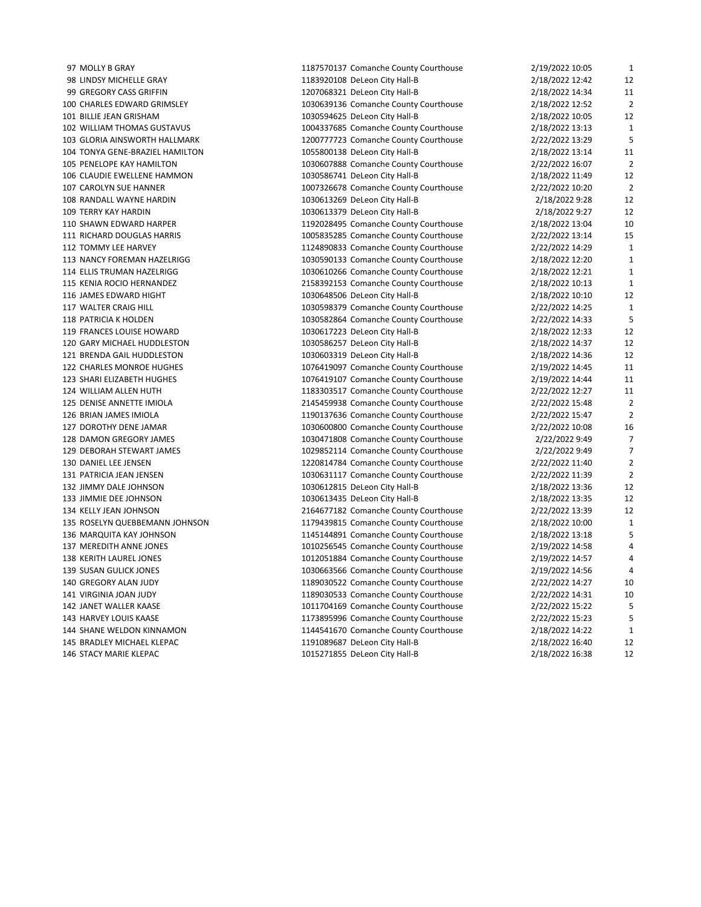| 97 MOLLY B GRAY                 | 1187570137 Comanche County Courthouse | 2/19/2022 10:05 | $\mathbf{1}$   |
|---------------------------------|---------------------------------------|-----------------|----------------|
| 98 LINDSY MICHELLE GRAY         | 1183920108 DeLeon City Hall-B         | 2/18/2022 12:42 | 12             |
| 99 GREGORY CASS GRIFFIN         | 1207068321 DeLeon City Hall-B         | 2/18/2022 14:34 | 11             |
| 100 CHARLES EDWARD GRIMSLEY     | 1030639136 Comanche County Courthouse | 2/18/2022 12:52 | $\overline{2}$ |
| 101 BILLIE JEAN GRISHAM         | 1030594625 DeLeon City Hall-B         | 2/18/2022 10:05 | 12             |
| 102 WILLIAM THOMAS GUSTAVUS     | 1004337685 Comanche County Courthouse | 2/18/2022 13:13 | $\mathbf{1}$   |
| 103 GLORIA AINSWORTH HALLMARK   | 1200777723 Comanche County Courthouse | 2/22/2022 13:29 | 5              |
| 104 TONYA GENE-BRAZIEL HAMILTON | 1055800138 DeLeon City Hall-B         | 2/18/2022 13:14 | 11             |
| 105 PENELOPE KAY HAMILTON       | 1030607888 Comanche County Courthouse | 2/22/2022 16:07 | $\overline{2}$ |
| 106 CLAUDIE EWELLENE HAMMON     | 1030586741 DeLeon City Hall-B         | 2/18/2022 11:49 | 12             |
| 107 CAROLYN SUE HANNER          | 1007326678 Comanche County Courthouse | 2/22/2022 10:20 | $\overline{2}$ |
| 108 RANDALL WAYNE HARDIN        | 1030613269 DeLeon City Hall-B         | 2/18/2022 9:28  | 12             |
| <b>109 TERRY KAY HARDIN</b>     | 1030613379 DeLeon City Hall-B         | 2/18/2022 9:27  | 12             |
| 110 SHAWN EDWARD HARPER         | 1192028495 Comanche County Courthouse | 2/18/2022 13:04 | 10             |
| 111 RICHARD DOUGLAS HARRIS      | 1005835285 Comanche County Courthouse | 2/22/2022 13:14 | 15             |
| 112 TOMMY LEE HARVEY            | 1124890833 Comanche County Courthouse | 2/22/2022 14:29 | $\mathbf{1}$   |
| 113 NANCY FOREMAN HAZELRIGG     | 1030590133 Comanche County Courthouse | 2/18/2022 12:20 | $\mathbf{1}$   |
| 114 ELLIS TRUMAN HAZELRIGG      | 1030610266 Comanche County Courthouse | 2/18/2022 12:21 | $\mathbf{1}$   |
| 115 KENIA ROCIO HERNANDEZ       | 2158392153 Comanche County Courthouse | 2/18/2022 10:13 | $\mathbf{1}$   |
| 116 JAMES EDWARD HIGHT          | 1030648506 DeLeon City Hall-B         | 2/18/2022 10:10 | 12             |
| 117 WALTER CRAIG HILL           | 1030598379 Comanche County Courthouse | 2/22/2022 14:25 | $\mathbf{1}$   |
| 118 PATRICIA K HOLDEN           | 1030582864 Comanche County Courthouse | 2/22/2022 14:33 | 5              |
| 119 FRANCES LOUISE HOWARD       | 1030617223 DeLeon City Hall-B         | 2/18/2022 12:33 | 12             |
| 120 GARY MICHAEL HUDDLESTON     | 1030586257 DeLeon City Hall-B         | 2/18/2022 14:37 | 12             |
| 121 BRENDA GAIL HUDDLESTON      | 1030603319 DeLeon City Hall-B         | 2/18/2022 14:36 | 12             |
| 122 CHARLES MONROE HUGHES       | 1076419097 Comanche County Courthouse | 2/19/2022 14:45 | 11             |
| 123 SHARI ELIZABETH HUGHES      | 1076419107 Comanche County Courthouse | 2/19/2022 14:44 | 11             |
| 124 WILLIAM ALLEN HUTH          | 1183303517 Comanche County Courthouse | 2/22/2022 12:27 | 11             |
| 125 DENISE ANNETTE IMIOLA       | 2145459938 Comanche County Courthouse | 2/22/2022 15:48 | $\overline{2}$ |
| 126 BRIAN JAMES IMIOLA          | 1190137636 Comanche County Courthouse | 2/22/2022 15:47 | $\overline{2}$ |
| 127 DOROTHY DENE JAMAR          | 1030600800 Comanche County Courthouse | 2/22/2022 10:08 | 16             |
| 128 DAMON GREGORY JAMES         | 1030471808 Comanche County Courthouse | 2/22/2022 9:49  | 7              |
| 129 DEBORAH STEWART JAMES       | 1029852114 Comanche County Courthouse | 2/22/2022 9:49  | $\overline{7}$ |
| 130 DANIEL LEE JENSEN           | 1220814784 Comanche County Courthouse | 2/22/2022 11:40 | $\overline{a}$ |
| 131 PATRICIA JEAN JENSEN        | 1030631117 Comanche County Courthouse | 2/22/2022 11:39 | $\overline{2}$ |
| 132 JIMMY DALE JOHNSON          | 1030612815 DeLeon City Hall-B         | 2/18/2022 13:36 | 12             |
| 133 JIMMIE DEE JOHNSON          | 1030613435 DeLeon City Hall-B         | 2/18/2022 13:35 | 12             |
| 134 KELLY JEAN JOHNSON          | 2164677182 Comanche County Courthouse | 2/22/2022 13:39 | 12             |
| 135 ROSELYN QUEBBEMANN JOHNSON  | 1179439815 Comanche County Courthouse | 2/18/2022 10:00 | $\mathbf{1}$   |
| 136 MARQUITA KAY JOHNSON        | 1145144891 Comanche County Courthouse | 2/18/2022 13:18 | 5              |
| 137 MEREDITH ANNE JONES         | 1010256545 Comanche County Courthouse | 2/19/2022 14:58 | 4              |
| 138 KERITH LAUREL JONES         | 1012051884 Comanche County Courthouse | 2/19/2022 14:57 | 4              |
| 139 SUSAN GULICK JONES          | 1030663566 Comanche County Courthouse | 2/19/2022 14:56 | 4              |
| 140 GREGORY ALAN JUDY           | 1189030522 Comanche County Courthouse | 2/22/2022 14:27 | 10             |
| 141 VIRGINIA JOAN JUDY          | 1189030533 Comanche County Courthouse | 2/22/2022 14:31 | 10             |
| 142 JANET WALLER KAASE          | 1011704169 Comanche County Courthouse | 2/22/2022 15:22 | 5              |
| 143 HARVEY LOUIS KAASE          | 1173895996 Comanche County Courthouse | 2/22/2022 15:23 | 5              |
| 144 SHANE WELDON KINNAMON       | 1144541670 Comanche County Courthouse | 2/18/2022 14:22 | $\mathbf{1}$   |
| 145 BRADLEY MICHAEL KLEPAC      | 1191089687 DeLeon City Hall-B         | 2/18/2022 16:40 | 12             |
| 146 STACY MARIE KLEPAC          | 1015271855 DeLeon City Hall-B         | 2/18/2022 16:38 | 12             |
|                                 |                                       |                 |                |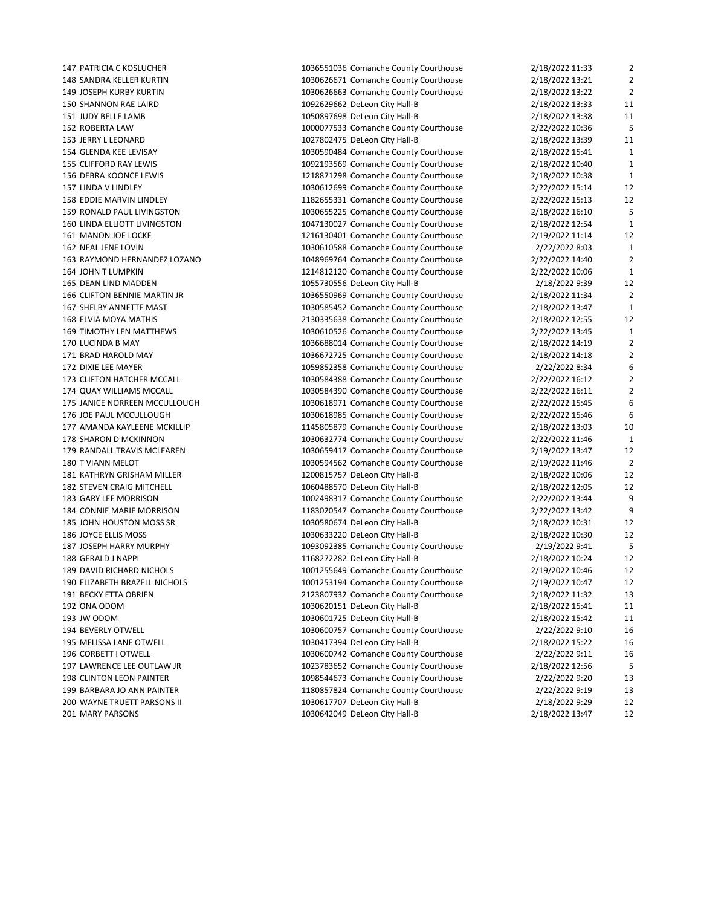| 147 PATRICIA C KOSLUCHER         | 1036551036 Comanche County Courthouse | 2/18/2022 11:33                    | $\overline{\mathbf{c}}$ |
|----------------------------------|---------------------------------------|------------------------------------|-------------------------|
| 148 SANDRA KELLER KURTIN         | 1030626671 Comanche County Courthouse | 2/18/2022 13:21                    | $\overline{2}$          |
| 149 JOSEPH KURBY KURTIN          | 1030626663 Comanche County Courthouse | 2/18/2022 13:22                    | $\overline{2}$          |
| <b>150 SHANNON RAE LAIRD</b>     | 1092629662 DeLeon City Hall-B         | 2/18/2022 13:33                    | 11                      |
| 151 JUDY BELLE LAMB              | 1050897698 DeLeon City Hall-B         | 2/18/2022 13:38                    | 11                      |
| 152 ROBERTA LAW                  | 1000077533 Comanche County Courthouse | 2/22/2022 10:36                    | 5                       |
| 153 JERRY L LEONARD              | 1027802475 DeLeon City Hall-B         | 2/18/2022 13:39                    | 11                      |
| 154 GLENDA KEE LEVISAY           | 1030590484 Comanche County Courthouse | 2/18/2022 15:41                    | 1                       |
| 155 CLIFFORD RAY LEWIS           | 1092193569 Comanche County Courthouse | 2/18/2022 10:40                    | $\mathbf{1}$            |
| 156 DEBRA KOONCE LEWIS           | 1218871298 Comanche County Courthouse | 2/18/2022 10:38                    | $\mathbf{1}$            |
| 157 LINDA V LINDLEY              | 1030612699 Comanche County Courthouse | 2/22/2022 15:14                    | 12                      |
| 158 EDDIE MARVIN LINDLEY         | 1182655331 Comanche County Courthouse | 2/22/2022 15:13                    | 12                      |
| 159 RONALD PAUL LIVINGSTON       | 1030655225 Comanche County Courthouse | 2/18/2022 16:10                    | 5                       |
| 160 LINDA ELLIOTT LIVINGSTON     | 1047130027 Comanche County Courthouse | 2/18/2022 12:54                    | $\mathbf{1}$            |
| 161 MANON JOE LOCKE              | 1216130401 Comanche County Courthouse | 2/19/2022 11:14                    | 12                      |
| 162 NEAL JENE LOVIN              | 1030610588 Comanche County Courthouse | 2/22/2022 8:03                     | 1                       |
| 163 RAYMOND HERNANDEZ LOZANO     | 1048969764 Comanche County Courthouse | 2/22/2022 14:40                    | $\overline{2}$          |
| 164 JOHN T LUMPKIN               | 1214812120 Comanche County Courthouse | 2/22/2022 10:06                    | $\mathbf{1}$            |
| 165 DEAN LIND MADDEN             | 1055730556 DeLeon City Hall-B         | 2/18/2022 9:39                     | 12                      |
| 166 CLIFTON BENNIE MARTIN JR     | 1036550969 Comanche County Courthouse | 2/18/2022 11:34                    | $\overline{2}$          |
| 167 SHELBY ANNETTE MAST          | 1030585452 Comanche County Courthouse | 2/18/2022 13:47                    | $\mathbf{1}$            |
| 168 ELVIA MOYA MATHIS            | 2130335638 Comanche County Courthouse | 2/18/2022 12:55                    | 12                      |
| <b>169 TIMOTHY LEN MATTHEWS</b>  | 1030610526 Comanche County Courthouse | 2/22/2022 13:45                    | $\mathbf{1}$            |
| 170 LUCINDA B MAY                | 1036688014 Comanche County Courthouse | 2/18/2022 14:19                    | $\overline{2}$          |
| 171 BRAD HAROLD MAY              | 1036672725 Comanche County Courthouse | 2/18/2022 14:18                    | $\overline{2}$          |
| 172 DIXIE LEE MAYER              | 1059852358 Comanche County Courthouse | 2/22/2022 8:34                     | 6                       |
| 173 CLIFTON HATCHER MCCALL       | 1030584388 Comanche County Courthouse | 2/22/2022 16:12                    | $\overline{2}$          |
| 174 QUAY WILLIAMS MCCALL         | 1030584390 Comanche County Courthouse | 2/22/2022 16:11                    | $\overline{c}$          |
| 175 JANICE NORREEN MCCULLOUGH    | 1030618971 Comanche County Courthouse | 2/22/2022 15:45                    | 6                       |
| 176 JOE PAUL MCCULLOUGH          | 1030618985 Comanche County Courthouse | 2/22/2022 15:46                    | 6                       |
| 177 AMANDA KAYLEENE MCKILLIP     | 1145805879 Comanche County Courthouse | 2/18/2022 13:03                    | 10                      |
| 178 SHARON D MCKINNON            | 1030632774 Comanche County Courthouse | 2/22/2022 11:46                    | 1                       |
| 179 RANDALL TRAVIS MCLEAREN      | 1030659417 Comanche County Courthouse | 2/19/2022 13:47                    | 12                      |
| 180 T VIANN MELOT                | 1030594562 Comanche County Courthouse | 2/19/2022 11:46                    | $\overline{2}$          |
| 181 KATHRYN GRISHAM MILLER       | 1200815757 DeLeon City Hall-B         | 2/18/2022 10:06                    | 12                      |
| 182 STEVEN CRAIG MITCHELL        | 1060488570 DeLeon City Hall-B         | 2/18/2022 12:05                    | 12                      |
| 183 GARY LEE MORRISON            | 1002498317 Comanche County Courthouse |                                    | 9                       |
| <b>184 CONNIE MARIE MORRISON</b> | 1183020547 Comanche County Courthouse | 2/22/2022 13:44<br>2/22/2022 13:42 | 9                       |
| 185 JOHN HOUSTON MOSS SR         |                                       |                                    | 12                      |
| 186 JOYCE ELLIS MOSS             | 1030580674 DeLeon City Hall-B         | 2/18/2022 10:31                    | 12                      |
| 187 JOSEPH HARRY MURPHY          | 1030633220 DeLeon City Hall-B         | 2/18/2022 10:30                    | 5                       |
| 188 GERALD J NAPPI               | 1093092385 Comanche County Courthouse | 2/19/2022 9:41                     | 12                      |
|                                  | 1168272282 DeLeon City Hall-B         | 2/18/2022 10:24                    |                         |
| 189 DAVID RICHARD NICHOLS        | 1001255649 Comanche County Courthouse | 2/19/2022 10:46                    | 12                      |
| 190 ELIZABETH BRAZELL NICHOLS    | 1001253194 Comanche County Courthouse | 2/19/2022 10:47                    | 12                      |
| 191 BECKY ETTA OBRIEN            | 2123807932 Comanche County Courthouse | 2/18/2022 11:32                    | 13                      |
| 192 ONA ODOM                     | 1030620151 DeLeon City Hall-B         | 2/18/2022 15:41                    | 11                      |
| 193 JW ODOM                      | 1030601725 DeLeon City Hall-B         | 2/18/2022 15:42                    | 11                      |
| 194 BEVERLY OTWELL               | 1030600757 Comanche County Courthouse | 2/22/2022 9:10                     | 16                      |
| 195 MELISSA LANE OTWELL          | 1030417394 DeLeon City Hall-B         | 2/18/2022 15:22                    | 16                      |
| 196 CORBETT I OTWELL             | 1030600742 Comanche County Courthouse | 2/22/2022 9:11                     | 16                      |
| 197 LAWRENCE LEE OUTLAW JR       | 1023783652 Comanche County Courthouse | 2/18/2022 12:56                    | 5                       |
| 198 CLINTON LEON PAINTER         | 1098544673 Comanche County Courthouse | 2/22/2022 9:20                     | 13                      |
| 199 BARBARA JO ANN PAINTER       | 1180857824 Comanche County Courthouse | 2/22/2022 9:19                     | 13                      |
| 200 WAYNE TRUETT PARSONS II      | 1030617707 DeLeon City Hall-B         | 2/18/2022 9:29                     | 12                      |
| 201 MARY PARSONS                 | 1030642049 DeLeon City Hall-B         | 2/18/2022 13:47                    | 12                      |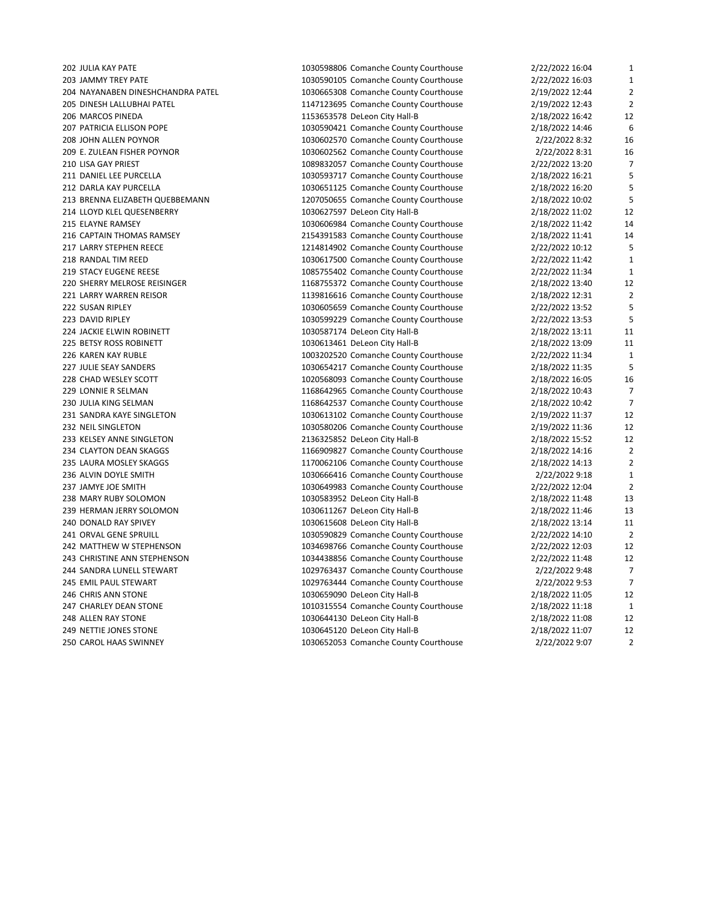| 202 JULIA KAY PATE                              | 1030598806 Comanche County Courthouse | 2/22/2022 16:04 | $\mathbf{1}$                   |
|-------------------------------------------------|---------------------------------------|-----------------|--------------------------------|
| 203 JAMMY TREY PATE                             | 1030590105 Comanche County Courthouse | 2/22/2022 16:03 | $\mathbf{1}$<br>$\overline{2}$ |
| 204 NAYANABEN DINESHCHANDRA PATEL               | 1030665308 Comanche County Courthouse | 2/19/2022 12:44 |                                |
| 205 DINESH LALLUBHAI PATEL<br>206 MARCOS PINEDA | 1147123695 Comanche County Courthouse | 2/19/2022 12:43 | $\overline{2}$<br>12           |
|                                                 | 1153653578 DeLeon City Hall-B         | 2/18/2022 16:42 |                                |
| 207 PATRICIA ELLISON POPE                       | 1030590421 Comanche County Courthouse | 2/18/2022 14:46 | 6                              |
| 208 JOHN ALLEN POYNOR                           | 1030602570 Comanche County Courthouse | 2/22/2022 8:32  | 16                             |
| 209 E. ZULEAN FISHER POYNOR                     | 1030602562 Comanche County Courthouse | 2/22/2022 8:31  | 16                             |
| 210 LISA GAY PRIEST                             | 1089832057 Comanche County Courthouse | 2/22/2022 13:20 | $\overline{7}$                 |
| 211 DANIEL LEE PURCELLA                         | 1030593717 Comanche County Courthouse | 2/18/2022 16:21 | 5                              |
| 212 DARLA KAY PURCELLA                          | 1030651125 Comanche County Courthouse | 2/18/2022 16:20 | 5                              |
| 213 BRENNA ELIZABETH QUEBBEMANN                 | 1207050655 Comanche County Courthouse | 2/18/2022 10:02 | 5                              |
| 214 LLOYD KLEL QUESENBERRY                      | 1030627597 DeLeon City Hall-B         | 2/18/2022 11:02 | 12                             |
| 215 ELAYNE RAMSEY                               | 1030606984 Comanche County Courthouse | 2/18/2022 11:42 | 14                             |
| 216 CAPTAIN THOMAS RAMSEY                       | 2154391583 Comanche County Courthouse | 2/18/2022 11:41 | 14                             |
| 217 LARRY STEPHEN REECE                         | 1214814902 Comanche County Courthouse | 2/22/2022 10:12 | 5                              |
| 218 RANDAL TIM REED                             | 1030617500 Comanche County Courthouse | 2/22/2022 11:42 | $\mathbf{1}$                   |
| 219 STACY EUGENE REESE                          | 1085755402 Comanche County Courthouse | 2/22/2022 11:34 | $\mathbf{1}$                   |
| 220 SHERRY MELROSE REISINGER                    | 1168755372 Comanche County Courthouse | 2/18/2022 13:40 | 12                             |
| 221 LARRY WARREN REISOR                         | 1139816616 Comanche County Courthouse | 2/18/2022 12:31 | $\overline{2}$                 |
| 222 SUSAN RIPLEY                                | 1030605659 Comanche County Courthouse | 2/22/2022 13:52 | 5                              |
| 223 DAVID RIPLEY                                | 1030599229 Comanche County Courthouse | 2/22/2022 13:53 | 5                              |
| 224 JACKIE ELWIN ROBINETT                       | 1030587174 DeLeon City Hall-B         | 2/18/2022 13:11 | 11                             |
| 225 BETSY ROSS ROBINETT                         | 1030613461 DeLeon City Hall-B         | 2/18/2022 13:09 | 11                             |
| 226 KAREN KAY RUBLE                             | 1003202520 Comanche County Courthouse | 2/22/2022 11:34 | $\mathbf{1}$                   |
| 227 JULIE SEAY SANDERS                          | 1030654217 Comanche County Courthouse | 2/18/2022 11:35 | 5                              |
| 228 CHAD WESLEY SCOTT                           | 1020568093 Comanche County Courthouse | 2/18/2022 16:05 | 16                             |
| 229 LONNIE R SELMAN                             | 1168642965 Comanche County Courthouse | 2/18/2022 10:43 | $\overline{7}$                 |
| 230 JULIA KING SELMAN                           | 1168642537 Comanche County Courthouse | 2/18/2022 10:42 | $\overline{7}$                 |
| 231 SANDRA KAYE SINGLETON                       | 1030613102 Comanche County Courthouse | 2/19/2022 11:37 | 12                             |
| 232 NEIL SINGLETON                              | 1030580206 Comanche County Courthouse | 2/19/2022 11:36 | 12                             |
| 233 KELSEY ANNE SINGLETON                       | 2136325852 DeLeon City Hall-B         | 2/18/2022 15:52 | 12                             |
| 234 CLAYTON DEAN SKAGGS                         | 1166909827 Comanche County Courthouse | 2/18/2022 14:16 | $\overline{2}$                 |
| 235 LAURA MOSLEY SKAGGS                         | 1170062106 Comanche County Courthouse | 2/18/2022 14:13 | $\overline{2}$                 |
| 236 ALVIN DOYLE SMITH                           | 1030666416 Comanche County Courthouse | 2/22/2022 9:18  | $\mathbf{1}$                   |
| 237 JAMYE JOE SMITH                             | 1030649983 Comanche County Courthouse | 2/22/2022 12:04 | $\overline{2}$                 |
| 238 MARY RUBY SOLOMON                           | 1030583952 DeLeon City Hall-B         | 2/18/2022 11:48 | 13                             |
| 239 HERMAN JERRY SOLOMON                        | 1030611267 DeLeon City Hall-B         | 2/18/2022 11:46 | 13                             |
| 240 DONALD RAY SPIVEY                           | 1030615608 DeLeon City Hall-B         | 2/18/2022 13:14 | 11                             |
| 241 ORVAL GENE SPRUILL                          | 1030590829 Comanche County Courthouse | 2/22/2022 14:10 | $\overline{2}$                 |
| 242 MATTHEW W STEPHENSON                        | 1034698766 Comanche County Courthouse | 2/22/2022 12:03 | 12                             |
| 243 CHRISTINE ANN STEPHENSON                    | 1034438856 Comanche County Courthouse | 2/22/2022 11:48 | 12                             |
| 244 SANDRA LUNELL STEWART                       | 1029763437 Comanche County Courthouse | 2/22/2022 9:48  | 7                              |
| 245 EMIL PAUL STEWART                           | 1029763444 Comanche County Courthouse | 2/22/2022 9:53  | $\overline{7}$                 |
| 246 CHRIS ANN STONE                             | 1030659090 DeLeon City Hall-B         | 2/18/2022 11:05 | 12                             |
| 247 CHARLEY DEAN STONE                          | 1010315554 Comanche County Courthouse | 2/18/2022 11:18 | $\mathbf{1}$                   |
| 248 ALLEN RAY STONE                             | 1030644130 DeLeon City Hall-B         | 2/18/2022 11:08 | 12                             |
| 249 NETTIE JONES STONE                          | 1030645120 DeLeon City Hall-B         | 2/18/2022 11:07 | 12                             |
| 250 CAROL HAAS SWINNEY                          | 1030652053 Comanche County Courthouse | 2/22/2022 9:07  | $\overline{2}$                 |